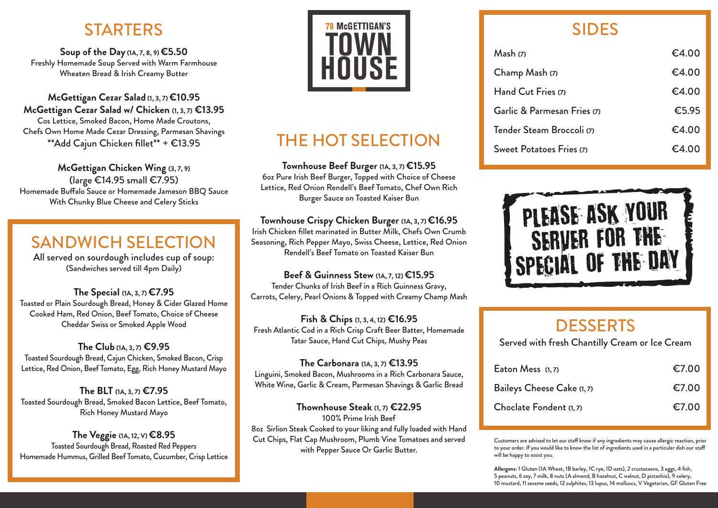## **STARTERS**

**Soup of the Day (1A, 7, 8, 9) €5.50** Freshly Homemade Soup Served with Warm Farmhouse Wheaten Bread & Irish Creamy Butter

**McGettigan Cezar Salad (1, 3, 7) €10.95 McGettigan Cezar Salad w/ Chicken (1, 3, 7) €13.95**  Cos Lettice, Smoked Bacon, Home Made Croutons, Chefs Own Home Made Cezar Dressing, Parmesan Shavings \*\*Add Cajun Chicken fillet\*\* + €13.95

**McGettigan Chicken Wing (3, 7, 9)** (large €14.95 small €7.95) Homemade Buffalo Sauce or Homemade Jameson BBO Sauce With Chunky Blue Cheese and Celery Sticks

## SANDWICH SELECTION

All served on sourdough includes cup of soup: (Sandwiches served till 4pm Daily)

**The Special (1A, 3, 7) €7.95** Toasted or Plain Sourdough Bread, Honey & Cider Glazed Home Cooked Ham, Red Onion, Beef Tomato, Choice of Cheese Cheddar Swiss or Smoked Apple Wood

**The Club (1A, 3, 7) €9.95** Toasted Sourdough Bread, Cajun Chicken, Smoked Bacon, Crisp Lettice, Red Onion, Beef Tomato, Egg, Rich Honey Mustard Mayo

**The BLT (1A, 3, 7) €7.95** Toasted Sourdough Bread, Smoked Bacon Lettice, Beef Tomato, Rich Honey Mustard Mayo

**The Veggie (1A, 12, V) €8.95** Toasted Sourdough Bread, Roasted Red Peppers Homemade Hummus, Grilled Beef Tomato, Cucumber, Crisp Lettice



# THE HOT SELECTION

**Townhouse Beef Burger (1A, 3, 7) €15.95** 6oz Pure Irish Beef Burger, Topped with Choice of Cheese Lettice, Red Onion Rendell's Beef Tomato, Chef Own Rich Burger Sauce on Toasted Kaiser Bun

#### **Townhouse Crispy Chicken Burger (1A, 3, 7) €16.95**

Irish Chicken fillet marinated in Butter Milk, Chefs Own Crumb Seasoning, Rich Pepper Mayo, Swiss Cheese, Lettice, Red Onion Rendell's Beef Tomato on Toasted Kaiser Bun

#### **Beef & Guinness Stew (1A, 7, 12) €15.95**

Tender Chunks of Irish Beef in a Rich Guinness Gravy, Carrots, Celery, Pearl Onions & Topped with Creamy Champ Mash

**Fish & Chips (1, 3, 4, 12) €16.95** Fresh Atlantic Cod in a Rich Crisp Craft Beer Batter, Homemade Tatar Sauce, Hand Cut Chips, Mushy Peas

**The Carbonara (1A, 3, 7) €13.95** Linguini, Smoked Bacon, Mushrooms in a Rich Carbonara Sauce, White Wine, Garlic & Cream, Parmesan Shavings & Garlic Bread

**Thownhouse Steak (1, 7) €22.95** 100% Prime Irish Beef 8oz Sirlion Steak Cooked to your liking and fully loaded with Hand Cut Chips, Flat Cap Mushroom, Plumb Vine Tomatoes and served with Pepper Sauce Or Garlic Butter.

## SIDES

| Mash(7)                     | €4.00 |
|-----------------------------|-------|
| Champ Mash (7)              | €4.00 |
| Hand Cut Fries (7)          | €4.00 |
| Garlic & Parmesan Fries (7) | €5.95 |
| Tender Steam Broccoli (7)   | €4.00 |
| Sweet Potatoes Fries (7)    | €4.00 |



### **DESSERTS**

Served with fresh Chantilly Cream or Ice Cream

| Eaton Mess $(1, 7)$        | €7.00 |
|----------------------------|-------|
| Baileys Cheese Cake (1, 7) | €7.00 |
| Choclate Fondent (1, 7)    | €7.00 |

Customers are advised to let our staff know if any ingredients may cause allergic reaction, prior to your order. If you would like to know the list of ingredients used in a particular dish our sta will be happy to assist you.

**Allergens:** 1 Gluten (1A Wheat, 1B barley, 1C rye, 1D oats), 2 crustaceans, 3 eggs, 4 fish, 5 peanuts, 6 soy, 7 milk, 8 nuts (A almond, B hazelnut, C walnut, D pistachio), 9 celery, 10 mustard, 11 sesame seeds, 12 sulphites, 13 lupus, 14 molluscs, V Vegetarian, GF Gluten Free